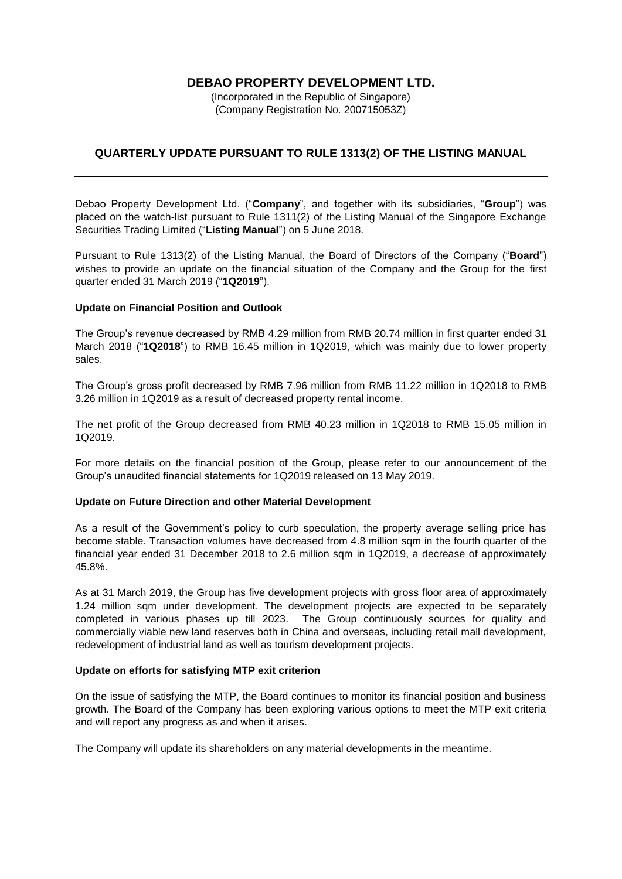# **DEBAO PROPERTY DEVELOPMENT LTD.**

(Incorporated in the Republic of Singapore) (Company Registration No. 200715053Z)

## **QUARTERLY UPDATE PURSUANT TO RULE 1313(2) OF THE LISTING MANUAL**

Debao Property Development Ltd. ("**Company**", and together with its subsidiaries, "**Group**") was placed on the watch-list pursuant to Rule 1311(2) of the Listing Manual of the Singapore Exchange Securities Trading Limited ("**Listing Manual**") on 5 June 2018.

Pursuant to Rule 1313(2) of the Listing Manual, the Board of Directors of the Company ("**Board**") wishes to provide an update on the financial situation of the Company and the Group for the first quarter ended 31 March 2019 ("**1Q2019**").

## **Update on Financial Position and Outlook**

The Group's revenue decreased by RMB 4.29 million from RMB 20.74 million in first quarter ended 31 March 2018 ("**1Q2018**") to RMB 16.45 million in 1Q2019, which was mainly due to lower property sales.

The Group's gross profit decreased by RMB 7.96 million from RMB 11.22 million in 1Q2018 to RMB 3.26 million in 1Q2019 as a result of decreased property rental income.

The net profit of the Group decreased from RMB 40.23 million in 1Q2018 to RMB 15.05 million in 1Q2019.

For more details on the financial position of the Group, please refer to our announcement of the Group's unaudited financial statements for 1Q2019 released on 13 May 2019.

### **Update on Future Direction and other Material Development**

As a result of the Government's policy to curb speculation, the property average selling price has become stable. Transaction volumes have decreased from 4.8 million sqm in the fourth quarter of the financial year ended 31 December 2018 to 2.6 million sqm in 1Q2019, a decrease of approximately 45.8%.

As at 31 March 2019, the Group has five development projects with gross floor area of approximately 1.24 million sqm under development. The development projects are expected to be separately completed in various phases up till 2023. The Group continuously sources for quality and commercially viable new land reserves both in China and overseas, including retail mall development, redevelopment of industrial land as well as tourism development projects.

### **Update on efforts for satisfying MTP exit criterion**

On the issue of satisfying the MTP, the Board continues to monitor its financial position and business growth. The Board of the Company has been exploring various options to meet the MTP exit criteria and will report any progress as and when it arises.

The Company will update its shareholders on any material developments in the meantime.